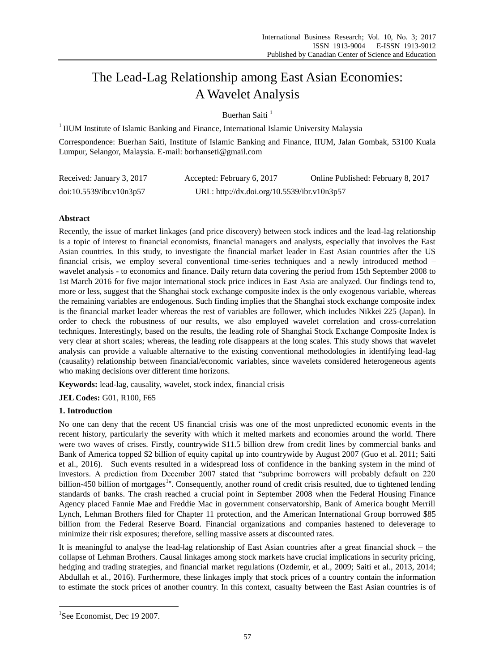# The Lead-Lag Relationship among East Asian Economies: A Wavelet Analysis

Buerhan Saiti<sup>1</sup>

<sup>1</sup> IIUM Institute of Islamic Banking and Finance, International Islamic University Malaysia

Correspondence: Buerhan Saiti, [Institute of Islamic Banking and Finance,](http://www.iium.edu.my/iiibf) IIUM, Jalan Gombak, 53100 Kuala Lumpur, Selangor, Malaysia. E-mail: [borhanseti@gmail.com](mailto:borhanseti@gmail.com)

| Received: January 3, 2017 | Accepted: February 6, 2017                  | Online Published: February 8, 2017 |
|---------------------------|---------------------------------------------|------------------------------------|
| doi:10.5539/ibr.v10n3p57  | URL: http://dx.doi.org/10.5539/ibr.v10n3p57 |                                    |

# **Abstract**

Recently, the issue of market linkages (and price discovery) between stock indices and the lead-lag relationship is a topic of interest to financial economists, financial managers and analysts, especially that involves the East Asian countries. In this study, to investigate the financial market leader in East Asian countries after the US financial crisis, we employ several conventional time-series techniques and a newly introduced method – wavelet analysis - to economics and finance. Daily return data covering the period from 15th September 2008 to 1st March 2016 for five major international stock price indices in East Asia are analyzed. Our findings tend to, more or less, suggest that the Shanghai stock exchange composite index is the only exogenous variable, whereas the remaining variables are endogenous. Such finding implies that the Shanghai stock exchange composite index is the financial market leader whereas the rest of variables are follower, which includes Nikkei 225 (Japan). In order to check the robustness of our results, we also employed wavelet correlation and cross-correlation techniques. Interestingly, based on the results, the leading role of Shanghai Stock Exchange [Composite Index](https://www.google.com.my/url?sa=t&rct=j&q=&esrc=s&source=web&cd=1&cad=rja&ved=0CC0QFjAA&url=http%3A%2F%2Fwww.bloomberg.com%2Fquote%2FSHCOMP%3AIND&ei=ilrTUqvZBsfGrAeiuIDoBA&usg=AFQjCNFc2pnEnWbZ4CfpAkE676LT4dmZ1g&sig2=YCvJ3_uPkmgjgCMDXIpASw&bvm=bv.59026428,d.bmk) is very clear at short scales; whereas, the leading role disappears at the long scales. This study shows that wavelet analysis can provide a valuable alternative to the existing conventional methodologies in identifying lead-lag (causality) relationship between financial/economic variables, since wavelets considered heterogeneous agents who making decisions over different time horizons.

**Keywords:** lead-lag, causality, wavelet, stock index, financial crisis

**JEL Codes:** G01, R100, F65

# **1. Introduction**

No one can deny that the recent US financial crisis was one of the most unpredicted economic events in the recent history, particularly the severity with which it melted markets and economies around the world. There were two waves of crises. Firstly, countrywide \$11.5 billion drew from credit lines by commercial banks and Bank of America topped \$2 billion of equity capital up into countrywide by August 2007 (Guo et al. 2011; Saiti et al., 2016). Such events resulted in a widespread loss of confidence in the banking system in the mind of investors. A prediction from December 2007 stated that "subprime borrowers will probably default on 220 billion-450 billion of mortgages<sup>1</sup>". Consequently, another round of credit crisis resulted, due to tightened lending standards of banks. The crash reached a crucial point in September 2008 when the Federal Housing Finance Agency placed Fannie Mae and Freddie Mac in government conservatorship, Bank of America bought Merrill Lynch, Lehman Brothers filed for Chapter 11 protection, and the American International Group borrowed \$85 billion from the Federal Reserve Board. Financial organizations and companies hastened to deleverage to minimize their risk exposures; therefore, selling massive assets at discounted rates.

It is meaningful to analyse the lead-lag relationship of East Asian countries after a great financial shock – the collapse of Lehman Brothers. Causal linkages among stock markets have crucial implications in security pricing, hedging and trading strategies, and financial market regulations (Ozdemir, et al., 2009; Saiti et al., 2013, 2014; Abdullah et al., 2016). Furthermore, these linkages imply that stock prices of a country contain the information to estimate the stock prices of another country. In this context, casualty between the East Asian countries is of

l

<sup>&</sup>lt;sup>1</sup>See Economist, Dec 19 2007.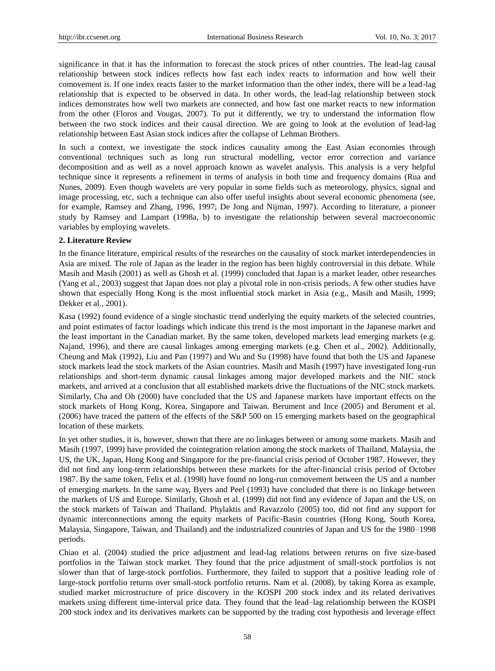significance in that it has the information to forecast the stock prices of other countries. The lead-lag causal relationship between stock indices reflects how fast each index reacts to information and how well their comovement is. If one index reacts faster to the market information than the other index, there will be a lead-lag relationship that is expected to be observed in data. In other words, the lead-lag relationship between stock indices demonstrates how well two markets are connected, and how fast one market reacts to new information from the other (Floros and Vougas, 2007). To put it differently, we try to understand the information flow between the two stock indices and their causal direction. We are going to look at the evolution of lead-lag relationship between East Asian stock indices after the collapse of Lehman Brothers.

In such a context, we investigate the stock indices causality among the East Asian economies through conventional techniques such as long run structural modelling, vector error correction and variance decomposition and as well as a novel approach known as wavelet analysis. This analysis is a very helpful technique since it represents a refinement in terms of analysis in both time and frequency domains (Rua and Nunes, 2009). Even though wavelets are very popular in some fields such as meteorology, physics, signal and image processing, etc, such a technique can also offer useful insights about several economic phenomena (see, for example, Ramsey and Zhang, 1996, 1997; De Jong and Nijman, 1997). According to literature, a pioneer study by Ramsey and Lampart (1998a, b) to investigate the relationship between several macroeconomic variables by employing wavelets.

# **2. Literature Review**

In the finance literature, empirical results of the researches on the causality of stock market interdependencies in Asia are mixed. The role of Japan as the leader in the region has been highly controversial in this debate. While Masih and Masih (2001) as well as Ghosh et al. (1999) concluded that Japan is a market leader, other researches (Yang et al., 2003) suggest that Japan does not play a pivotal role in non-crisis periods. A few other studies have shown that especially Hong Kong is the most influential stock market in Asia (e.g., Masih and Masih, 1999; Dekker et al., 2001).

Kasa (1992) found evidence of a single stochastic trend underlying the equity markets of the selected countries, and point estimates of factor loadings which indicate this trend is the most important in the Japanese market and the least important in the Canadian market. By the same token, developed markets lead emerging markets (e.g. Najand, 1996), and there are causal linkages among emerging markets (e.g. Chen et al., 2002). Additionally, Cheung and Mak (1992), Liu and Pan (1997) and Wu and Su (1998) have found that both the US and Japanese stock markets lead the stock markets of the Asian countries. Masih and Masih (1997) have investigated long-run relationships and short-term dynamic causal linkages among major developed markets and the NIC stock markets, and arrived at a conclusion that all established markets drive the fluctuations of the NIC stock markets. Similarly, Cha and Oh (2000) have concluded that the US and Japanese markets have important effects on the stock markets of Hong Kong, Korea, Singapore and Taiwan. Berument and Ince (2005) and Berument et al. (2006) have traced the pattern of the effects of the S&P 500 on 15 emerging markets based on the geographical location of these markets.

In yet other studies, it is, however, shown that there are no linkages between or among some markets. Masih and Masih (1997, 1999) have provided the cointegration relation among the stock markets of Thailand, Malaysia, the US, the UK, Japan, Hong Kong and Singapore for the pre-financial crisis period of October 1987. However, they did not find any long-term relationships between these markets for the after-financial crisis period of October 1987. By the same token, Felix et al. (1998) have found no long-run comovement between the US and a number of emerging markets. In the same way, Byers and Peel (1993) have concluded that there is no linkage between the markets of US and Europe. Similarly, Ghosh et al. (1999) did not find any evidence of Japan and the US, on the stock markets of Taiwan and Thailand. Phylaktis and Ravazzolo (2005) too, did not find any support for dynamic interconnections among the equity markets of Pacific-Basin countries (Hong Kong, South Korea, Malaysia, Singapore, Taiwan, and Thailand) and the industrialized countries of Japan and US for the 1980–1998 periods.

Chiao et al. (2004) studied the price adjustment and lead-lag relations between returns on five size-based portfolios in the Taiwan stock market. They found that the price adjustment of small-stock portfolios is not slower than that of large-stock portfolios. Furthermore, they failed to support that a positive leading role of large-stock portfolio returns over small-stock portfolio returns. Nam et al. (2008), by taking Korea as example, studied market microstructure of price discovery in the KOSPI 200 stock index and its related derivatives markets using different time-interval price data. They found that the lead–lag relationship between the KOSPI 200 stock index and its derivatives markets can be supported by the trading cost hypothesis and leverage effect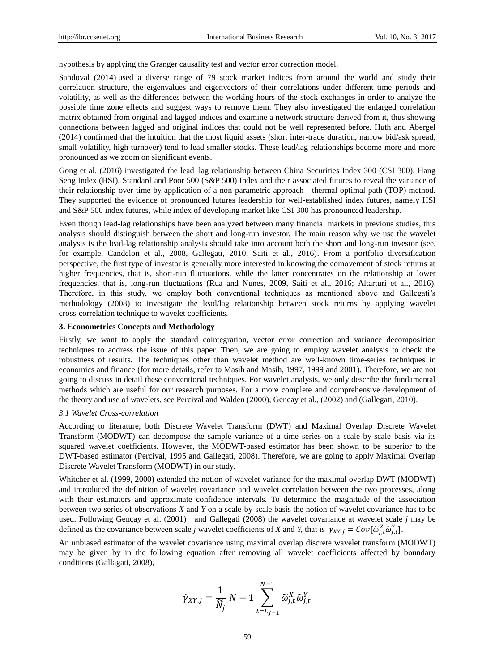hypothesis by applying the Granger causality test and vector error correction model.

Sandoval (2014) used a diverse range of 79 stock market indices from around the world and study their correlation structure, the eigenvalues and eigenvectors of their correlations under different time periods and volatility, as well as the differences between the working hours of the stock exchanges in order to analyze the possible time zone effects and suggest ways to remove them. They also investigated the enlarged correlation matrix obtained from original and lagged indices and examine a network structure derived from it, thus showing connections between lagged and original indices that could not be well represented before. Huth and Abergel (2014) confirmed that the intuition that the most liquid assets (short inter-trade duration, narrow bid/ask spread, small volatility, high turnover) tend to lead smaller stocks. These lead/lag relationships become more and more pronounced as we zoom on significant events.

Gong et al. (2016) investigated the lead–lag relationship between China Securities Index 300 (CSI 300), Hang Seng Index (HSI), Standard and Poor 500 (S&P 500) Index and their associated futures to reveal the variance of their relationship over time by application of a non-parametric approach—thermal optimal path (TOP) method. They supported the evidence of pronounced futures leadership for well-established index futures, namely HSI and S&P 500 index futures, while index of developing market like CSI 300 has pronounced leadership.

Even though lead-lag relationships have been analyzed between many financial markets in previous studies, this analysis should distinguish between the short and long-run investor. The main reason why we use the wavelet analysis is the lead-lag relationship analysis should take into account both the short and long-run investor (see, for example, Candelon et al., 2008, Gallegati, 2010; Saiti et al., 2016). From a portfolio diversification perspective, the first type of investor is generally more interested in knowing the comovement of stock returns at higher frequencies, that is, short-run fluctuations, while the latter concentrates on the relationship at lower frequencies, that is, long-run fluctuations (Rua and Nunes, 2009, Saiti et al., 2016; Altarturi et al., 2016). Therefore, in this study, we employ both conventional techniques as mentioned above and Gallegati's methodology (2008) to investigate the lead/lag relationship between stock returns by applying wavelet cross-correlation technique to wavelet coefficients.

#### **3. Econometrics Concepts and Methodology**

Firstly, we want to apply the standard cointegration, vector error correction and variance decomposition techniques to address the issue of this paper. Then, we are going to employ wavelet analysis to check the robustness of results. The techniques other than wavelet method are well-known time-series techniques in economics and finance (for more details, refer to Masih and Masih, 1997, 1999 and 2001). Therefore, we are not going to discuss in detail these conventional techniques. For wavelet analysis, we only describe the fundamental methods which are useful for our research purposes. For a more complete and comprehensive development of the theory and use of wavelets, see Percival and Walden (2000), Gencay et al., (2002) and (Gallegati, 2010).

#### *3.1 Wavelet Cross-correlation*

According to literature, both Discrete Wavelet Transform (DWT) and Maximal Overlap Discrete Wavelet Transform (MODWT) can decompose the sample variance of a time series on a scale-by-scale basis via its squared wavelet coefficients. However, the MODWT-based estimator has been shown to be superior to the DWT-based estimator (Percival, 1995 and Gallegati, 2008). Therefore, we are going to apply Maximal Overlap Discrete Wavelet Transform (MODWT) in our study.

Whitcher et al. (1999, 2000) extended the notion of wavelet variance for the maximal overlap DWT (MODWT) and introduced the definition of wavelet covariance and wavelet correlation between the two processes, along with their estimators and approximate confidence intervals. To determine the magnitude of the association between two series of observations *X* and *Y* on a scale-by-scale basis the notion of wavelet covariance has to be used. Following Gençay et al. (2001) and Gallegati (2008) the wavelet covariance at wavelet scale *j* may be defined as the covariance between scale *j* wavelet coefficients of *X* and *Y*, that is  $\gamma_{XY,j} = Cov[\tilde{\omega}_{j,t}^X \tilde{\omega}_{j,t}^Y]$ .

An unbiased estimator of the wavelet covariance using maximal overlap discrete wavelet transform (MODWT) may be given by in the following equation after removing all wavelet coefficients affected by boundary conditions (Gallagati, 2008),

$$
\tilde{\gamma}_{XY,j} = \frac{1}{\widetilde{N}_j} \; N - 1 \sum_{t=L_{J-1}}^{N-1} \widetilde{\omega}_{j,t}^X \widetilde{\omega}_{j,t}^Y
$$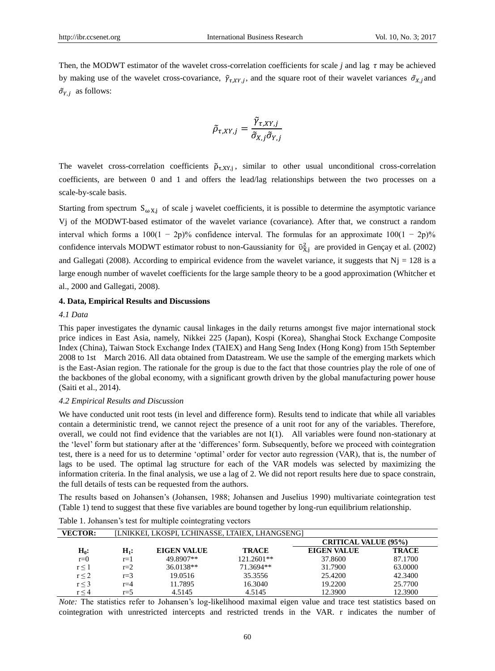Then, the MODWT estimator of the wavelet cross-correlation coefficients for scale  $j$  and lag  $\tau$  may be achieved by making use of the wavelet cross-covariance,  $\tilde{\gamma}_{\tau,XY,j}$ , and the square root of their wavelet variances  $\tilde{\sigma}_{X,j}$  and  $\tilde{\sigma}_{Y,i}$  as follows:

$$
\tilde{\rho}_{\tau,XY,j} = \frac{\tilde{\gamma}_{\tau,XY,j}}{\tilde{\sigma}_{X,j}\tilde{\sigma}_{Y,j}}
$$

The wavelet cross-correlation coefficients  $\tilde{\rho}_{\tau, XY,j}$ , similar to other usual unconditional cross-correlation coefficients, are between 0 and 1 and offers the lead/lag relationships between the two processes on a scale-by-scale basis.

Starting from spectrum  $S_{\omega X,j}$  of scale j wavelet coefficients, it is possible to determine the asymptotic variance Vj of the MODWT-based estimator of the wavelet variance (covariance). After that, we construct a random interval which forms a  $100(1 - 2p)$ % confidence interval. The formulas for an approximate  $100(1 - 2p)$ % confidence intervals MODWT estimator robust to non-Gaussianity for  $\tilde{v}_{X,j}^2$  are provided in Gen çay et al. (2002) and Gallegati (2008). According to empirical evidence from the wavelet variance, it suggests that  $Nj = 128$  is a large enough number of wavelet coefficients for the large sample theory to be a good approximation (Whitcher et al., 2000 and Gallegati, 2008).

#### **4. Data, Empirical Results and Discussions**

#### *4.1 Data*

This paper investigates the dynamic causal linkages in the daily returns amongst five major international stock price indices in East Asia, namely, Nikkei 225 (Japan), Kospi (Korea), Shanghai [Stock Exchange](https://www.google.com.my/url?sa=t&rct=j&q=&esrc=s&source=web&cd=1&cad=rja&ved=0CC0QFjAA&url=http%3A%2F%2Fwww.bloomberg.com%2Fquote%2FSHCOMP%3AIND&ei=ilrTUqvZBsfGrAeiuIDoBA&usg=AFQjCNFc2pnEnWbZ4CfpAkE676LT4dmZ1g&sig2=YCvJ3_uPkmgjgCMDXIpASw&bvm=bv.59026428,d.bmk) Composite [Index](https://www.google.com.my/url?sa=t&rct=j&q=&esrc=s&source=web&cd=1&cad=rja&ved=0CC0QFjAA&url=http%3A%2F%2Fwww.bloomberg.com%2Fquote%2FSHCOMP%3AIND&ei=ilrTUqvZBsfGrAeiuIDoBA&usg=AFQjCNFc2pnEnWbZ4CfpAkE676LT4dmZ1g&sig2=YCvJ3_uPkmgjgCMDXIpASw&bvm=bv.59026428,d.bmk) (China), Taiwan Stock Exchange Index (TAIEX) and Hang Seng Index (Hong Kong) from 15th September 2008 to 1st March 2016. All data obtained from Datastream. We use the sample of the emerging markets which is the East-Asian region. The rationale for the group is due to the fact that those countries play the role of one of the backbones of the global economy, with a significant growth driven by the global manufacturing power house (Saiti et al., 2014).

#### *4.2 Empirical Results and Discussion*

We have conducted unit root tests (in level and difference form). Results tend to indicate that while all variables contain a deterministic trend, we cannot reject the presence of a unit root for any of the variables. Therefore, overall, we could not find evidence that the variables are not I(1). All variables were found non-stationary at the 'level' form but stationary after at the 'differences' form. Subsequently, before we proceed with cointegration test, there is a need for us to determine 'optimal' order for vector auto regression (VAR), that is, the number of lags to be used. The optimal lag structure for each of the VAR models was selected by maximizing the information criteria. In the final analysis, we use a lag of 2. We did not report results here due to space constrain, the full details of tests can be requested from the authors.

The results based on Johansen's (Johansen, 1988; Johansen and Juselius 1990) multivariate cointegration test (Table 1) tend to suggest that these five variables are bound together by long-run equilibrium relationship.

| <b>VECTOR:</b>     |                  | [LNIKKEI, LKOSPI, LCHINASSE, LTAIEX, LHANGSENG] |              |                    |                             |  |  |
|--------------------|------------------|-------------------------------------------------|--------------|--------------------|-----------------------------|--|--|
|                    |                  |                                                 |              |                    | <b>CRITICAL VALUE (95%)</b> |  |  |
| $\mathbf{H}_{0}$ : | $\mathbf{H}_1$ : | EIGEN VALUE                                     | <b>TRACE</b> | <b>EIGEN VALUE</b> | <b>TRACE</b>                |  |  |
| $r=0$              | $r=1$            | 49.8907**                                       | $121.2601**$ | 37.8600            | 87.1700                     |  |  |
| $r \leq 1$         | $r=2$            | 36.0138**                                       | 71.3694**    | 31.7900            | 63,0000                     |  |  |
| r < 2              | $r = 3$          | 19.0516                                         | 35.3556      | 25.4200            | 42.3400                     |  |  |
| $r \leq 3$         | $r = 4$          | 11.7895                                         | 16.3040      | 19.2200            | 25.7700                     |  |  |
| r < 4              | $r = 5$          | 4.5145                                          | 4.5145       | 12.3900            | 12.3900                     |  |  |

Table 1. Johansen's test for multiple cointegrating vectors

*Note:* The statistics refer to Johansen's log-likelihood maximal eigen value and trace test statistics based on cointegration with unrestricted intercepts and restricted trends in the VAR. r indicates the number of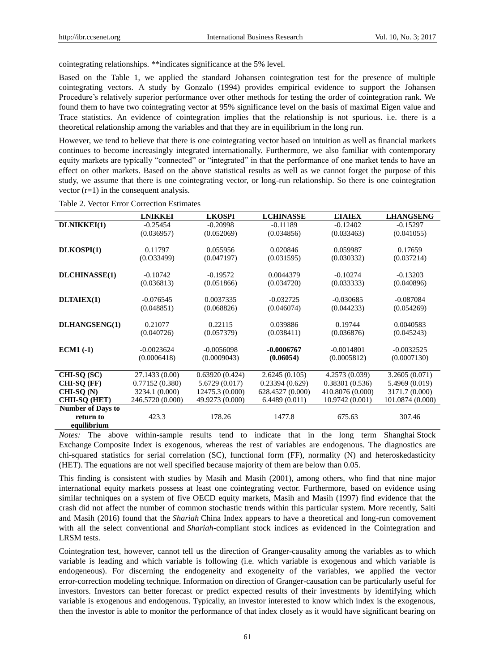cointegrating relationships. \*\*indicates significance at the 5% level.

Based on the Table 1, we applied the standard Johansen cointegration test for the presence of multiple cointegrating vectors. A study by Gonzalo (1994) provides empirical evidence to support the Johansen Procedure's relatively superior performance over other methods for testing the order of cointegration rank. We found them to have two cointegrating vector at 95% significance level on the basis of maximal Eigen value and Trace statistics. An evidence of cointegration implies that the relationship is not spurious. i.e. there is a theoretical relationship among the variables and that they are in equilibrium in the long run.

However, we tend to believe that there is one cointegrating vector based on intuition as well as financial markets continues to become increasingly integrated internationally. Furthermore, we also familiar with contemporary equity markets are typically "connected" or "integrated" in that the performance of one market tends to have an effect on other markets. Based on the above statistical results as well as we cannot forget the purpose of this study, we assume that there is one cointegrating vector, or long-run relationship. So there is one cointegration vector  $(r=1)$  in the consequent analysis.

|                          | <b>LNIKKEI</b>   | <b>LKOSPI</b>   | <b>LCHINASSE</b> | <b>LTAIEX</b>    | <b>LHANGSENG</b> |
|--------------------------|------------------|-----------------|------------------|------------------|------------------|
| DLNIKKEI(1)              | $-0.25454$       | $-0.20998$      | $-0.11189$       | $-0.12402$       | $-0.15297$       |
|                          | (0.036957)       | (0.052069)      | (0.034856)       | (0.033463)       | (0.041055)       |
|                          |                  |                 |                  |                  |                  |
| DLKOSPI(1)               | 0.11797          | 0.055956        | 0.020846         | 0.059987         | 0.17659          |
|                          | (0.033499)       | (0.047197)      | (0.031595)       | (0.030332)       | (0.037214)       |
|                          |                  |                 |                  |                  |                  |
| DLCHINASSE(1)            | $-0.10742$       | $-0.19572$      | 0.0044379        | $-0.10274$       | $-0.13203$       |
|                          | (0.036813)       | (0.051866)      | (0.034720)       | (0.033333)       | (0.040896)       |
|                          |                  |                 |                  |                  |                  |
| DLTAIEX(1)               | $-0.076545$      | 0.0037335       | $-0.032725$      | $-0.030685$      | $-0.087084$      |
|                          | (0.048851)       | (0.068826)      | (0.046074)       | (0.044233)       | (0.054269)       |
|                          |                  |                 |                  |                  |                  |
| DLHANGSENG(1)            | 0.21077          | 0.22115         | 0.039886         | 0.19744          | 0.0040583        |
|                          | (0.040726)       | (0.057379)      | (0.038411)       | (0.036876)       | (0.045243)       |
|                          |                  |                 |                  |                  |                  |
| $ECM1(-1)$               | $-0.0023624$     | $-0.0056098$    | $-0.0006767$     | $-0.0014801$     | $-0.0032525$     |
|                          | (0.0006418)      | (0.0009043)     | (0.06054)        | (0.0005812)      | (0.0007130)      |
|                          |                  |                 |                  |                  |                  |
| CHI-SQ (SC)              | 27.1433 (0.00)   | 0.63920(0.424)  | 2.6245(0.105)    | 4.2573 (0.039)   | 3.2605(0.071)    |
| CHI-SO (FF)              | 0.77152(0.380)   | 5.6729 (0.017)  | 0.23394(0.629)   | 0.38301(0.536)   | 5.4969 (0.019)   |
| $CHI-SO(N)$              | 3234.1 (0.000)   | 12475.3 (0.000) | 628.4527 (0.000) | 410.8076 (0.000) | 3171.7 (0.000)   |
| <b>CHII-SQ (HET)</b>     | 246.5720 (0.000) | 49.9273 (0.000) | 6.4489(0.011)    | 10.9742(0.001)   | 101.0874 (0.000) |
| <b>Number of Days to</b> |                  |                 |                  |                  |                  |
| return to                | 423.3            | 178.26          | 1477.8           | 675.63           | 307.46           |
| equilibrium              |                  |                 |                  |                  |                  |

Table 2. Vector Error Correction Estimates

*Notes:* The above within-sample results tend to indicate that in the long term [Shanghai](https://www.google.com.my/url?sa=t&rct=j&q=&esrc=s&source=web&cd=1&cad=rja&ved=0CC0QFjAA&url=http%3A%2F%2Fwww.bloomberg.com%2Fquote%2FSHCOMP%3AIND&ei=ilrTUqvZBsfGrAeiuIDoBA&usg=AFQjCNFc2pnEnWbZ4CfpAkE676LT4dmZ1g&sig2=YCvJ3_uPkmgjgCMDXIpASw&bvm=bv.59026428,d.bmk) Stock Exchange [Composite Index](https://www.google.com.my/url?sa=t&rct=j&q=&esrc=s&source=web&cd=1&cad=rja&ved=0CC0QFjAA&url=http%3A%2F%2Fwww.bloomberg.com%2Fquote%2FSHCOMP%3AIND&ei=ilrTUqvZBsfGrAeiuIDoBA&usg=AFQjCNFc2pnEnWbZ4CfpAkE676LT4dmZ1g&sig2=YCvJ3_uPkmgjgCMDXIpASw&bvm=bv.59026428,d.bmk) is exogenous, whereas the rest of variables are endogenous. The diagnostics are chi-squared statistics for serial correlation (SC), functional form (FF), normality (N) and heteroskedasticity (HET). The equations are not well specified because majority of them are below than 0.05.

This finding is consistent with studies by Masih and Masih (2001), among others, who find that nine major international equity markets possess at least one cointegrating vector. Furthermore, based on evidence using similar techniques on a system of five OECD equity markets, Masih and Masih (1997) find evidence that the crash did not affect the number of common stochastic trends within this particular system. More recently, Saiti and Masih (2016) found that the *Shariah* China Index appears to have a theoretical and long-run comovement with all the select conventional and *Shariah*-compliant stock indices as evidenced in the Cointegration and LRSM tests.

Cointegration test, however, cannot tell us the direction of Granger-causality among the variables as to which variable is leading and which variable is following (i.e. which variable is exogenous and which variable is endogeneous). For discerning the endogeneity and exogeneity of the variables, we applied the vector error-correction modeling technique. Information on direction of Granger-causation can be particularly useful for investors. Investors can better forecast or predict expected results of their investments by identifying which variable is exogenous and endogenous. Typically, an investor interested to know which index is the exogenous, then the investor is able to monitor the performance of that index closely as it would have significant bearing on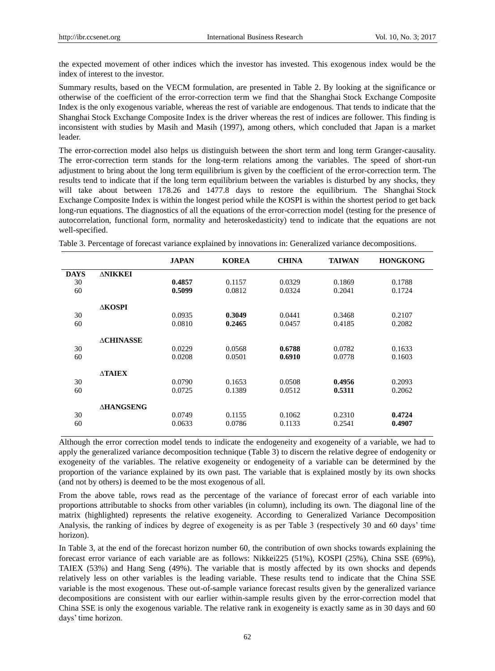the expected movement of other indices which the investor has invested. This exogenous index would be the index of interest to the investor.

Summary results, based on the VECM formulation, are presented in Table 2. By looking at the significance or otherwise of the coefficient of the error-correction term we find that the Shanghai [Stock Exchange](https://www.google.com.my/url?sa=t&rct=j&q=&esrc=s&source=web&cd=1&cad=rja&ved=0CC0QFjAA&url=http%3A%2F%2Fwww.bloomberg.com%2Fquote%2FSHCOMP%3AIND&ei=ilrTUqvZBsfGrAeiuIDoBA&usg=AFQjCNFc2pnEnWbZ4CfpAkE676LT4dmZ1g&sig2=YCvJ3_uPkmgjgCMDXIpASw&bvm=bv.59026428,d.bmk) Composite [Index](https://www.google.com.my/url?sa=t&rct=j&q=&esrc=s&source=web&cd=1&cad=rja&ved=0CC0QFjAA&url=http%3A%2F%2Fwww.bloomberg.com%2Fquote%2FSHCOMP%3AIND&ei=ilrTUqvZBsfGrAeiuIDoBA&usg=AFQjCNFc2pnEnWbZ4CfpAkE676LT4dmZ1g&sig2=YCvJ3_uPkmgjgCMDXIpASw&bvm=bv.59026428,d.bmk) is the only exogenous variable, whereas the rest of variable are endogenous. That tends to indicate that the Shanghai Stock Exchange [Composite Index](https://www.google.com.my/url?sa=t&rct=j&q=&esrc=s&source=web&cd=1&cad=rja&ved=0CC0QFjAA&url=http%3A%2F%2Fwww.bloomberg.com%2Fquote%2FSHCOMP%3AIND&ei=ilrTUqvZBsfGrAeiuIDoBA&usg=AFQjCNFc2pnEnWbZ4CfpAkE676LT4dmZ1g&sig2=YCvJ3_uPkmgjgCMDXIpASw&bvm=bv.59026428,d.bmk) is the driver whereas the rest of indices are follower. This finding is inconsistent with studies by Masih and Masih (1997), among others, which concluded that Japan is a market leader.

The error-correction model also helps us distinguish between the short term and long term Granger-causality. The error-correction term stands for the long-term relations among the variables. The speed of short-run adjustment to bring about the long term equilibrium is given by the coefficient of the error-correction term. The results tend to indicate that if the long term equilibrium between the variables is disturbed by any shocks, they will take about between 178.26 and 1477.8 days to restore the equilibrium. The [Shanghai](https://www.google.com.my/url?sa=t&rct=j&q=&esrc=s&source=web&cd=1&cad=rja&ved=0CC0QFjAA&url=http%3A%2F%2Fwww.bloomberg.com%2Fquote%2FSHCOMP%3AIND&ei=ilrTUqvZBsfGrAeiuIDoBA&usg=AFQjCNFc2pnEnWbZ4CfpAkE676LT4dmZ1g&sig2=YCvJ3_uPkmgjgCMDXIpASw&bvm=bv.59026428,d.bmk) Stock Exchange [Composite Index](https://www.google.com.my/url?sa=t&rct=j&q=&esrc=s&source=web&cd=1&cad=rja&ved=0CC0QFjAA&url=http%3A%2F%2Fwww.bloomberg.com%2Fquote%2FSHCOMP%3AIND&ei=ilrTUqvZBsfGrAeiuIDoBA&usg=AFQjCNFc2pnEnWbZ4CfpAkE676LT4dmZ1g&sig2=YCvJ3_uPkmgjgCMDXIpASw&bvm=bv.59026428,d.bmk) is within the longest period while the KOSPI is within the shortest period to get back long-run equations. The diagnostics of all the equations of the error-correction model (testing for the presence of autocorrelation, functional form, normality and heteroskedasticity) tend to indicate that the equations are not well-specified.

|             |                  | <b>JAPAN</b> | <b>KOREA</b> | <b>CHINA</b> | <b>TAIWAN</b> | <b>HONGKONG</b> |
|-------------|------------------|--------------|--------------|--------------|---------------|-----------------|
| <b>DAYS</b> | <b>ANIKKEI</b>   |              |              |              |               |                 |
| 30          |                  | 0.4857       | 0.1157       | 0.0329       | 0.1869        | 0.1788          |
| 60          |                  | 0.5099       | 0.0812       | 0.0324       | 0.2041        | 0.1724          |
|             | <b>AKOSPI</b>    |              |              |              |               |                 |
| 30          |                  | 0.0935       | 0.3049       | 0.0441       | 0.3468        | 0.2107          |
| 60          |                  | 0.0810       | 0.2465       | 0.0457       | 0.4185        | 0.2082          |
|             | <b>ACHINASSE</b> |              |              |              |               |                 |
| 30          |                  | 0.0229       | 0.0568       | 0.6788       | 0.0782        | 0.1633          |
| 60          |                  | 0.0208       | 0.0501       | 0.6910       | 0.0778        | 0.1603          |
|             | <b>ATAIEX</b>    |              |              |              |               |                 |
| 30          |                  | 0.0790       | 0.1653       | 0.0508       | 0.4956        | 0.2093          |
| 60          |                  | 0.0725       | 0.1389       | 0.0512       | 0.5311        | 0.2062          |
|             | <b>AHANGSENG</b> |              |              |              |               |                 |
| 30          |                  | 0.0749       | 0.1155       | 0.1062       | 0.2310        | 0.4724          |
| 60          |                  | 0.0633       | 0.0786       | 0.1133       | 0.2541        | 0.4907          |

Table 3. Percentage of forecast variance explained by innovations in: Generalized variance decompositions.

Although the error correction model tends to indicate the endogeneity and exogeneity of a variable, we had to apply the generalized variance decomposition technique (Table 3) to discern the relative degree of endogenity or exogeneity of the variables. The relative exogeneity or endogeneity of a variable can be determined by the proportion of the variance explained by its own past. The variable that is explained mostly by its own shocks (and not by others) is deemed to be the most exogenous of all.

From the above table, rows read as the percentage of the variance of forecast error of each variable into proportions attributable to shocks from other variables (in column), including its own. The diagonal line of the matrix (highlighted) represents the relative exogeneity. According to Generalized Variance Decomposition Analysis, the ranking of indices by degree of exogeneity is as per Table 3 (respectively 30 and 60 days' time horizon).

In Table 3, at the end of the forecast horizon number 60, the contribution of own shocks towards explaining the forecast error variance of each variable are as follows: Nikkei225 (51%), KOSPI (25%), China SSE (69%), TAIEX (53%) and Hang Seng (49%). The variable that is mostly affected by its own shocks and depends relatively less on other variables is the leading variable. These results tend to indicate that the China SSE variable is the most exogenous. These out-of-sample variance forecast results given by the generalized variance decompositions are consistent with our earlier within-sample results given by the error-correction model that China SSE is only the exogenous variable. The relative rank in exogeneity is exactly same as in 30 days and 60 days' time horizon.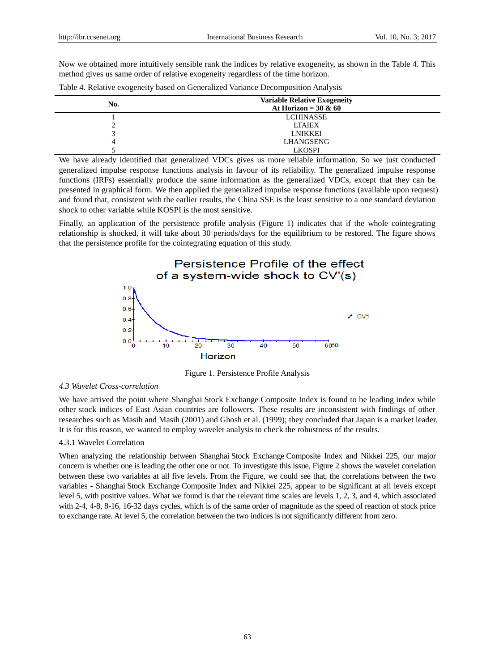Now we obtained more intuitively sensible rank the indices by relative exogeneity, as shown in the Table 4. This method gives us same order of relative exogeneity regardless of the time horizon.

| No. | <b>Variable Relative Exogeneity</b><br>At Horizon = $30 \& 60$ |  |  |
|-----|----------------------------------------------------------------|--|--|
|     | <b>LCHINASSE</b>                                               |  |  |
|     | <b>LTAIEX</b>                                                  |  |  |
|     | LNIKKEI                                                        |  |  |
|     | LHANGSENG                                                      |  |  |
|     | <b>LKOSPI</b>                                                  |  |  |

Table 4. Relative exogeneity based on Generalized Variance Decomposition Analysis

We have already identified that generalized VDCs gives us more reliable information. So we just conducted generalized impulse response functions analysis in favour of its reliability. The generalized impulse response functions (IRFs) essentially produce the same information as the generalized VDCs, except that they can be presented in graphical form. We then applied the generalized impulse response functions (available upon request) and found that, consistent with the earlier results, the China SSE is the least sensitive to a one standard deviation shock to other variable while KOSPI is the most sensitive.

Finally, an application of the persistence profile analysis (Figure 1) indicates that if the whole cointegrating relationship is shocked, it will take about 30 periods/days for the equilibrium to be restored. The figure shows that the persistence profile for the cointegrating equation of this study.



Figure 1. Persistence Profile Analysis

#### *4.3 Wavelet Cross-correlation*

We have arrived the point where Shanghai Stock Exchange [Composite Index](https://www.google.com.my/url?sa=t&rct=j&q=&esrc=s&source=web&cd=1&cad=rja&ved=0CC0QFjAA&url=http%3A%2F%2Fwww.bloomberg.com%2Fquote%2FSHCOMP%3AIND&ei=ilrTUqvZBsfGrAeiuIDoBA&usg=AFQjCNFc2pnEnWbZ4CfpAkE676LT4dmZ1g&sig2=YCvJ3_uPkmgjgCMDXIpASw&bvm=bv.59026428,d.bmk) is found to be leading index while other stock indices of East Asian countries are followers. These results are inconsistent with findings of other researches such as Masih and Masih (2001) and Ghosh et al. (1999); they concluded that Japan is a market leader. It is for this reason, we wanted to employ wavelet analysis to check the robustness of the results.

#### 4.3.1 Wavelet Correlation

When analyzing the relationship between Shanghai Stock Exchange [Composite Index](https://www.google.com.my/url?sa=t&rct=j&q=&esrc=s&source=web&cd=1&cad=rja&ved=0CC0QFjAA&url=http%3A%2F%2Fwww.bloomberg.com%2Fquote%2FSHCOMP%3AIND&ei=ilrTUqvZBsfGrAeiuIDoBA&usg=AFQjCNFc2pnEnWbZ4CfpAkE676LT4dmZ1g&sig2=YCvJ3_uPkmgjgCMDXIpASw&bvm=bv.59026428,d.bmk) and Nikkei 225, our major concern is whether one is leading the other one or not. To investigate this issue, Figure 2 shows the wavelet correlation between these two variables at all five levels. From the Figure, we could see that, the correlations between the two variables - Shanghai Stock Exchange [Composite Index](https://www.google.com.my/url?sa=t&rct=j&q=&esrc=s&source=web&cd=1&cad=rja&ved=0CC0QFjAA&url=http%3A%2F%2Fwww.bloomberg.com%2Fquote%2FSHCOMP%3AIND&ei=ilrTUqvZBsfGrAeiuIDoBA&usg=AFQjCNFc2pnEnWbZ4CfpAkE676LT4dmZ1g&sig2=YCvJ3_uPkmgjgCMDXIpASw&bvm=bv.59026428,d.bmk) and Nikkei 225, appear to be significant at all levels except level 5, with positive values. What we found is that the relevant time scales are levels 1, 2, 3, and 4, which associated with 2-4, 4-8, 8-16, 16-32 days cycles, which is of the same order of magnitude as the speed of reaction of stock price to exchange rate. At level 5, the correlation between the two indices is not significantly different from zero.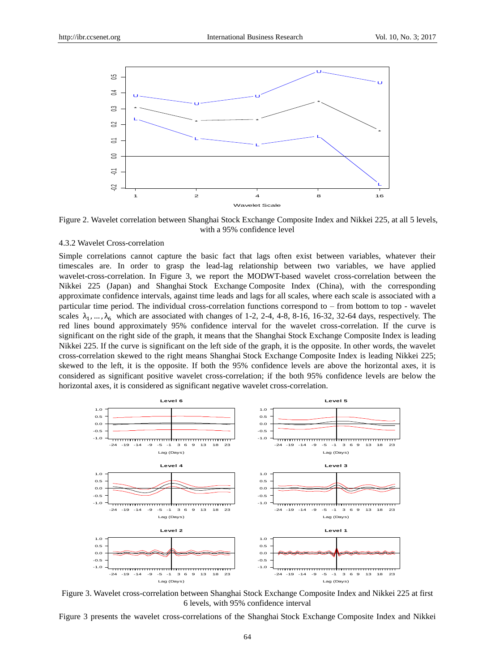

Figure 2. Wavelet correlation between Shanghai Stock Exchange [Composite Index](https://www.google.com.my/url?sa=t&rct=j&q=&esrc=s&source=web&cd=1&cad=rja&ved=0CC0QFjAA&url=http%3A%2F%2Fwww.bloomberg.com%2Fquote%2FSHCOMP%3AIND&ei=ilrTUqvZBsfGrAeiuIDoBA&usg=AFQjCNFc2pnEnWbZ4CfpAkE676LT4dmZ1g&sig2=YCvJ3_uPkmgjgCMDXIpASw&bvm=bv.59026428,d.bmk) and Nikkei 225, at all 5 levels, with a 95% confidence level

#### 4.3.2 Wavelet Cross-correlation

Simple correlations cannot capture the basic fact that lags often exist between variables, whatever their timescales are. In order to grasp the lead-lag relationship between two variables, we have applied wavelet-cross-correlation. In Figure 3, we report the MODWT-based wavelet cross-correlation between the Nikkei 225 (Japan) and Shanghai Stock Exchange [Composite Index](https://www.google.com.my/url?sa=t&rct=j&q=&esrc=s&source=web&cd=1&cad=rja&ved=0CC0QFjAA&url=http%3A%2F%2Fwww.bloomberg.com%2Fquote%2FSHCOMP%3AIND&ei=ilrTUqvZBsfGrAeiuIDoBA&usg=AFQjCNFc2pnEnWbZ4CfpAkE676LT4dmZ1g&sig2=YCvJ3_uPkmgjgCMDXIpASw&bvm=bv.59026428,d.bmk) (China), with the corresponding approximate confidence intervals, against time leads and lags for all scales, where each scale is associated with a particular time period. The individual cross-correlation functions correspond to – from bottom to top - wavelet scales  $\lambda_1, \dots, \lambda_6$  which are associated with changes of 1-2, 2-4, 4-8, 8-16, 16-32, 32-64 days, respectively. The red lines bound approximately 95% confidence interval for the wavelet cross-correlation. If the curve is significant on the right side of the graph, it means that the Shanghai Stock Exchange [Composite Index](https://www.google.com.my/url?sa=t&rct=j&q=&esrc=s&source=web&cd=1&cad=rja&ved=0CC0QFjAA&url=http%3A%2F%2Fwww.bloomberg.com%2Fquote%2FSHCOMP%3AIND&ei=ilrTUqvZBsfGrAeiuIDoBA&usg=AFQjCNFc2pnEnWbZ4CfpAkE676LT4dmZ1g&sig2=YCvJ3_uPkmgjgCMDXIpASw&bvm=bv.59026428,d.bmk) is leading Nikkei 225. If the curve is significant on the left side of the graph, it is the opposite. In other words, the wavelet cross-correlation skewed to the right means Shanghai Stock Exchange [Composite Index](https://www.google.com.my/url?sa=t&rct=j&q=&esrc=s&source=web&cd=1&cad=rja&ved=0CC0QFjAA&url=http%3A%2F%2Fwww.bloomberg.com%2Fquote%2FSHCOMP%3AIND&ei=ilrTUqvZBsfGrAeiuIDoBA&usg=AFQjCNFc2pnEnWbZ4CfpAkE676LT4dmZ1g&sig2=YCvJ3_uPkmgjgCMDXIpASw&bvm=bv.59026428,d.bmk) is leading Nikkei 225; skewed to the left, it is the opposite. If both the 95% confidence levels are above the horizontal axes, it is considered as significant positive wavelet cross-correlation; if the both 95% confidence levels are below the horizontal axes, it is considered as significant negative wavelet cross-correlation.



Figure 3. Wavelet cross-correlation between Shanghai Stock Exchange [Composite Index](https://www.google.com.my/url?sa=t&rct=j&q=&esrc=s&source=web&cd=1&cad=rja&ved=0CC0QFjAA&url=http%3A%2F%2Fwww.bloomberg.com%2Fquote%2FSHCOMP%3AIND&ei=ilrTUqvZBsfGrAeiuIDoBA&usg=AFQjCNFc2pnEnWbZ4CfpAkE676LT4dmZ1g&sig2=YCvJ3_uPkmgjgCMDXIpASw&bvm=bv.59026428,d.bmk) and Nikkei 225 at first 6 levels, with 95% confidence interval

Figure 3 presents the wavelet cross-correlations of the Shanghai Stock Exchange [Composite Index](https://www.google.com.my/url?sa=t&rct=j&q=&esrc=s&source=web&cd=1&cad=rja&ved=0CC0QFjAA&url=http%3A%2F%2Fwww.bloomberg.com%2Fquote%2FSHCOMP%3AIND&ei=ilrTUqvZBsfGrAeiuIDoBA&usg=AFQjCNFc2pnEnWbZ4CfpAkE676LT4dmZ1g&sig2=YCvJ3_uPkmgjgCMDXIpASw&bvm=bv.59026428,d.bmk) and Nikkei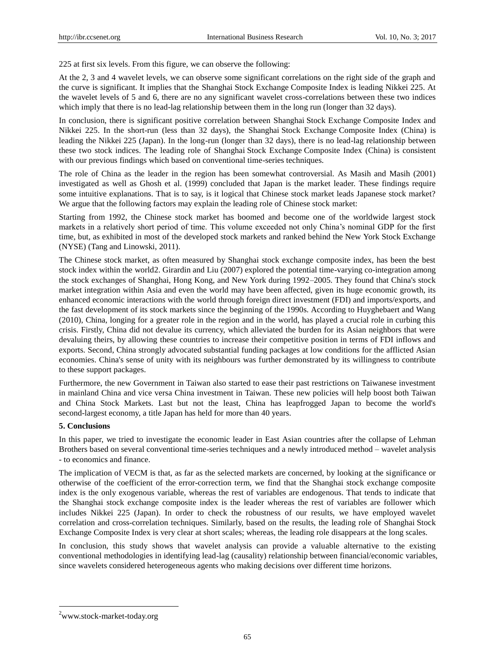225 at first six levels. From this figure, we can observe the following:

At the 2, 3 and 4 wavelet levels, we can observe some significant correlations on the right side of the graph and the curve is significant. It implies that the Shanghai Stock Exchange [Composite Index](https://www.google.com.my/url?sa=t&rct=j&q=&esrc=s&source=web&cd=1&cad=rja&ved=0CC0QFjAA&url=http%3A%2F%2Fwww.bloomberg.com%2Fquote%2FSHCOMP%3AIND&ei=ilrTUqvZBsfGrAeiuIDoBA&usg=AFQjCNFc2pnEnWbZ4CfpAkE676LT4dmZ1g&sig2=YCvJ3_uPkmgjgCMDXIpASw&bvm=bv.59026428,d.bmk) is leading Nikkei 225. At the wavelet levels of 5 and 6, there are no any significant wavelet cross-correlations between these two indices which imply that there is no lead-lag relationship between them in the long run (longer than 32 days).

In conclusion, there is significant positive correlation between Shanghai Stock Exchange [Composite Index](https://www.google.com.my/url?sa=t&rct=j&q=&esrc=s&source=web&cd=1&cad=rja&ved=0CC0QFjAA&url=http%3A%2F%2Fwww.bloomberg.com%2Fquote%2FSHCOMP%3AIND&ei=ilrTUqvZBsfGrAeiuIDoBA&usg=AFQjCNFc2pnEnWbZ4CfpAkE676LT4dmZ1g&sig2=YCvJ3_uPkmgjgCMDXIpASw&bvm=bv.59026428,d.bmk) and Nikkei 225. In the short-run (less than 32 days), the Shanghai Stock Exchange [Composite Index](https://www.google.com.my/url?sa=t&rct=j&q=&esrc=s&source=web&cd=1&cad=rja&ved=0CC0QFjAA&url=http%3A%2F%2Fwww.bloomberg.com%2Fquote%2FSHCOMP%3AIND&ei=ilrTUqvZBsfGrAeiuIDoBA&usg=AFQjCNFc2pnEnWbZ4CfpAkE676LT4dmZ1g&sig2=YCvJ3_uPkmgjgCMDXIpASw&bvm=bv.59026428,d.bmk) (China) is leading the Nikkei 225 (Japan). In the long-run (longer than 32 days), there is no lead-lag relationship between these two stock indices. The leading role of Shanghai Stock Exchange [Composite Index](https://www.google.com.my/url?sa=t&rct=j&q=&esrc=s&source=web&cd=1&cad=rja&ved=0CC0QFjAA&url=http%3A%2F%2Fwww.bloomberg.com%2Fquote%2FSHCOMP%3AIND&ei=ilrTUqvZBsfGrAeiuIDoBA&usg=AFQjCNFc2pnEnWbZ4CfpAkE676LT4dmZ1g&sig2=YCvJ3_uPkmgjgCMDXIpASw&bvm=bv.59026428,d.bmk) (China) is consistent with our previous findings which based on conventional time-series techniques.

The role of China as the leader in the region has been somewhat controversial. As Masih and Masih (2001) investigated as well as Ghosh et al. (1999) concluded that Japan is the market leader. These findings require some intuitive explanations. That is to say, is it logical that Chinese stock market leads Japanese stock market? We argue that the following factors may explain the leading role of Chinese stock market:

Starting from 1992, the Chinese stock market has boomed and become one of the worldwide largest stock markets in a relatively short period of time. This volume exceeded not only China's nominal GDP for the first time, but, as exhibited in most of the developed stock markets and ranked behind the New York Stock Exchange (NYSE) (Tang and Linowski, 2011).

The Chinese stock market, as often measured by Shanghai stock exchange composite index, has been the best stock index within the world2. Girardin and Liu (2007) explored the potential time-varying co-integration among the stock exchanges of Shanghai, Hong Kong, and New York during 1992–2005. They found that China's stock market integration within Asia and even the world may have been affected, given its huge economic growth, its enhanced economic interactions with the world through foreign direct investment (FDI) and imports/exports, and the fast development of its stock markets since the beginning of the 1990s. According to Huyghebaert and Wang (2010), China, longing for a greater role in the region and in the world, has played a crucial role in curbing this crisis. Firstly, China did not devalue its currency, which alleviated the burden for its Asian neighbors that were devaluing theirs, by allowing these countries to increase their competitive position in terms of FDI inflows and exports. Second, China strongly advocated substantial funding packages at low conditions for the afflicted Asian economies. China's sense of unity with its neighbours was further demonstrated by its willingness to contribute to these support packages.

Furthermore, the new Government in Taiwan also started to ease their past restrictions on Taiwanese investment in mainland China and vice versa China investment in Taiwan. These new policies will help boost both Taiwan and China Stock Markets. Last but not the least, [China](http://www.guardian.co.uk/world/china) has leapfrogged [Japan](http://www.guardian.co.uk/world/japan) to become the world's second-largest economy, a title Japan has held for more than 40 years.

# **5. Conclusions**

In this paper, we tried to investigate the economic leader in East Asian countries after the collapse of Lehman Brothers based on several conventional time-series techniques and a newly introduced method – wavelet analysis - to economics and finance.

The implication of VECM is that, as far as the selected markets are concerned, by looking at the significance or otherwise of the coefficient of the error-correction term, we find that the Shanghai stock exchange composite index is the only exogenous variable, whereas the rest of variables are endogenous. That tends to indicate that the Shanghai stock exchange composite index is the leader whereas the rest of variables are follower which includes Nikkei 225 (Japan). In order to check the robustness of our results, we have employed wavelet correlation and cross-correlation techniques. Similarly, based on the results, the leading role of [Shanghai](https://www.google.com.my/url?sa=t&rct=j&q=&esrc=s&source=web&cd=1&cad=rja&ved=0CC0QFjAA&url=http%3A%2F%2Fwww.bloomberg.com%2Fquote%2FSHCOMP%3AIND&ei=ilrTUqvZBsfGrAeiuIDoBA&usg=AFQjCNFc2pnEnWbZ4CfpAkE676LT4dmZ1g&sig2=YCvJ3_uPkmgjgCMDXIpASw&bvm=bv.59026428,d.bmk) Stock Exchange [Composite Index](https://www.google.com.my/url?sa=t&rct=j&q=&esrc=s&source=web&cd=1&cad=rja&ved=0CC0QFjAA&url=http%3A%2F%2Fwww.bloomberg.com%2Fquote%2FSHCOMP%3AIND&ei=ilrTUqvZBsfGrAeiuIDoBA&usg=AFQjCNFc2pnEnWbZ4CfpAkE676LT4dmZ1g&sig2=YCvJ3_uPkmgjgCMDXIpASw&bvm=bv.59026428,d.bmk) is very clear at short scales; whereas, the leading role disappears at the long scales.

In conclusion, this study shows that wavelet analysis can provide a valuable alternative to the existing conventional methodologies in identifying lead-lag (causality) relationship between financial/economic variables, since wavelets considered heterogeneous agents who making decisions over different time horizons.

l

<sup>2</sup>www.stock-market-today.org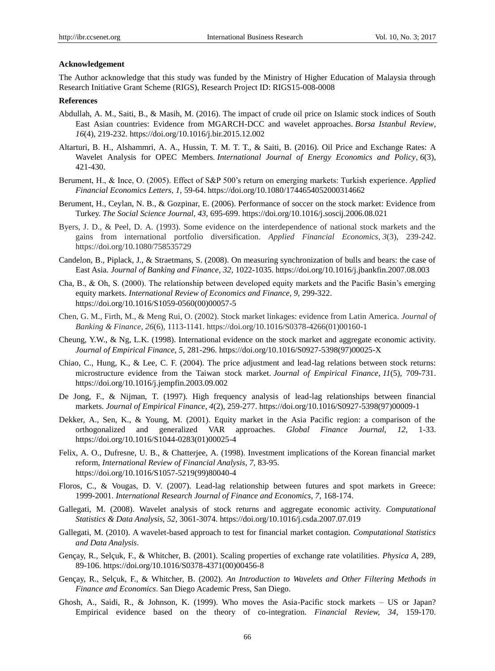## **Acknowledgement**

The Author acknowledge that this study was funded by the Ministry of Higher Education of Malaysia through Research Initiative Grant Scheme (RIGS), Research Project ID: RIGS15-008-0008

## **References**

- Abdullah, A. M., Saiti, B., & Masih, M. (2016). The impact of crude oil price on Islamic stock indices of South East Asian countries: Evidence from MGARCH-DCC and wavelet approaches. *Borsa Istanbul Review, 16*(4), 219-232. https://doi.org/10.1016/j.bir.2015.12.002
- Altarturi, B. H., Alshammri, A. A., Hussin, T. M. T. T., & Saiti, B. (2016). Oil Price and Exchange Rates: A Wavelet Analysis for OPEC Members. *International Journal of Energy Economics and Policy, 6*(3), 421-430.
- Berument, H., & Ince, O. (2005). Effect of S&P 500's return on emerging markets: Turkish experience. *Applied Financial Economics Letters, 1,* 59-64. https://doi.org/10.1080/1744654052000314662
- Berument, H., Ceylan, N. B., & Gozpinar, E. (2006). Performance of soccer on the stock market: Evidence from Turkey. *The Social Science Journal, 43,* 695-699. https://doi.org/10.1016/j.soscij.2006.08.021
- Byers, J. D., & Peel, D. A. (1993). Some evidence on the interdependence of national stock markets and the gains from international portfolio diversification. *Applied Financial Economics*, *3*(3), 239-242. https://doi.org/10.1080/758535729
- Candelon, B., Piplack, J., & Straetmans, S. (2008). On measuring synchronization of bulls and bears: the case of East Asia. *Journal of Banking and Finance, 32,* 1022-1035. https://doi.org/10.1016/j.jbankfin.2007.08.003
- Cha, B., & Oh, S. (2000). The relationship between developed equity markets and the Pacific Basin's emerging equity markets. *International Review of Economics and Finance, 9,* 299-322. https://doi.org/10.1016/S1059-0560(00)00057-5
- Chen, G. M., Firth, M., & Meng Rui, O. (2002). Stock market linkages: evidence from Latin America. *Journal of Banking & Finance*, *26*(6), 1113-1141. https://doi.org/10.1016/S0378-4266(01)00160-1
- Cheung, Y.W., & Ng, L.K. (1998). International evidence on the stock market and aggregate economic activity. *Journal of Empirical Finance, 5,* 281-296. https://doi.org/10.1016/S0927-5398(97)00025-X
- Chiao, C., Hung, K., & Lee, C. F. (2004). The price adjustment and lead-lag relations between stock returns: microstructure evidence from the Taiwan stock market. *Journal of Empirical Finance, 11*(5), 709-731. https://doi.org/10.1016/j.jempfin.2003.09.002
- De Jong, F., & Nijman, T. (1997). High frequency analysis of lead-lag relationships between financial markets. *Journal of Empirical Finance, 4*(2), 259-277. https://doi.org/10.1016/S0927-5398(97)00009-1
- Dekker, A., Sen, K., & Young, M. (2001). Equity market in the Asia Pacific region: a comparison of the orthogonalized and generalized VAR approaches. *Global Finance Journal, 12,* 1-33. https://doi.org/10.1016/S1044-0283(01)00025-4
- Felix, A. O., Dufresne, U. B., & Chatterjee, A. (1998). Investment implications of the Korean financial market reform, *International Review of Financial Analysis, 7,* 83-95. https://doi.org/10.1016/S1057-5219(99)80040-4
- Floros, C., & Vougas, D. V. (2007). Lead-lag relationship between futures and spot markets in Greece: 1999-2001. *International Research Journal of Finance and Economics, 7,* 168-174.
- Gallegati, M. (2008). Wavelet analysis of stock returns and aggregate economic activity. *Computational Statistics & Data Analysis, 52,* 3061-3074. https://doi.org/10.1016/j.csda.2007.07.019
- Gallegati, M. (2010). A wavelet-based approach to test for financial market contagion. *Computational Statistics and Data Analysis*.
- Gençay, R., Selçuk, F., & Whitcher, B. (2001). Scaling properties of exchange rate volatilities. *Physica A*, 289, 89-106. https://doi.org/10.1016/S0378-4371(00)00456-8
- Gençay, R., Selçuk, F., & Whitcher, B. (2002). *An Introduction to Wavelets and Other Filtering Methods in Finance and Economics*. San Diego Academic Press, San Diego.
- Ghosh, A., Saidi, R., & Johnson, K. (1999). Who moves the Asia-Pacific stock markets US or Japan? Empirical evidence based on the theory of co-integration. *Financial Review, 34,* 159-170.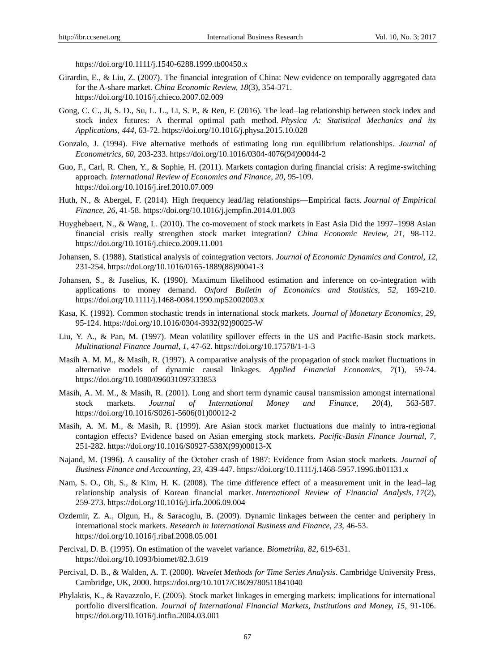https://doi.org/10.1111/j.1540-6288.1999.tb00450.x

- Girardin, E., & Liu, Z. (2007). The financial integration of China: New evidence on temporally aggregated data for the A-share market. *China Economic Review, 18*(3), 354-371. https://doi.org/10.1016/j.chieco.2007.02.009
- Gong, C. C., Ji, S. D., Su, L. L., Li, S. P., & Ren, F. (2016). The lead–lag relationship between stock index and stock index futures: A thermal optimal path method. *Physica A: Statistical Mechanics and its Applications, 444,* 63-72. https://doi.org/10.1016/j.physa.2015.10.028
- Gonzalo, J. (1994). Five alternative methods of estimating long run equilibrium relationships. *Journal of Econometrics, 60,* 203-233. https://doi.org/10.1016/0304-4076(94)90044-2
- Guo, F., Carl, R. Chen, Y., & Sophie, H. (2011). Markets contagion during financial crisis: A regime-switching approach. *International Review of Economics and Finance, 20,* 95-109. https://doi.org/10.1016/j.iref.2010.07.009
- Huth, N., & Abergel, F. (2014). High frequency lead/lag relationships—Empirical facts. *Journal of Empirical Finance, 26,* 41-58. https://doi.org/10.1016/j.jempfin.2014.01.003
- Huyghebaert, N., & Wang, L. (2010). The co-movement of stock markets in East Asia Did the 1997–1998 Asian financial crisis really strengthen stock market integration? *China Economic Review, 21,* 98-112. https://doi.org/10.1016/j.chieco.2009.11.001
- Johansen, S. (1988). Statistical analysis of cointegration vectors. *Journal of Economic Dynamics and Control, 12,*  231-254. https://doi.org/10.1016/0165-1889(88)90041-3
- Johansen, S., & Juselius, K. (1990). Maximum likelihood estimation and inference on co-integration with applications to money demand. *Oxford Bulletin of Economics and Statistics, 52,* 169-210. https://doi.org/10.1111/j.1468-0084.1990.mp52002003.x
- Kasa, K. (1992). Common stochastic trends in international stock markets. *Journal of Monetary Economics, 29,*  95-124. https://doi.org/10.1016/0304-3932(92)90025-W
- Liu, Y. A., & Pan, M. (1997). Mean volatility spillover effects in the US and Pacific-Basin stock markets. *Multinational Finance Journal, 1,* 47-62. https://doi.org/10.17578/1-1-3
- Masih A. M. M., & Masih, R. (1997). A comparative analysis of the propagation of stock market fluctuations in alternative models of dynamic causal linkages. *Applied Financial Economics, 7*(1), 59-74. https://doi.org/10.1080/096031097333853
- Masih, A. M. M., & Masih, R. (2001). Long and short term dynamic causal transmission amongst international stock markets. *Journal of International Money and Finance, 20*(4), 563-587. https://doi.org/10.1016/S0261-5606(01)00012-2
- Masih, A. M. M., & Masih, R. (1999). Are Asian stock market fluctuations due mainly to intra-regional contagion effects? Evidence based on Asian emerging stock markets. *Pacific-Basin Finance Journal, 7,*  251-282. https://doi.org/10.1016/S0927-538X(99)00013-X
- Najand, M. (1996). A causality of the October crash of 1987: Evidence from Asian stock markets. *Journal of Business Finance and Accounting, 23,* 439-447. https://doi.org/10.1111/j.1468-5957.1996.tb01131.x
- Nam, S. O., Oh, S., & Kim, H. K. (2008). The time difference effect of a measurement unit in the lead–lag relationship analysis of Korean financial market. *International Review of Financial Analysis, 17*(2), 259-273. https://doi.org/10.1016/j.irfa.2006.09.004
- Ozdemir, Z. A., Olgun, H., & Saracoglu, B. (2009). Dynamic linkages between the center and periphery in international stock markets. *Research in International Business and Finance, 23,* 46-53. https://doi.org/10.1016/j.ribaf.2008.05.001
- Percival, D. B. (1995). On estimation of the wavelet variance. *Biometrika, 82,* 619-631. https://doi.org/10.1093/biomet/82.3.619
- Percival, D. B., & Walden, A. T. (2000). *Wavelet Methods for Time Series Analysis*. Cambridge University Press, Cambridge, UK, 2000. https://doi.org/10.1017/CBO9780511841040
- Phylaktis, K., & Ravazzolo, F. (2005). Stock market linkages in emerging markets: implications for international portfolio diversification. *Journal of International Financial Markets, Institutions and Money, 15,* 91-106. https://doi.org/10.1016/j.intfin.2004.03.001